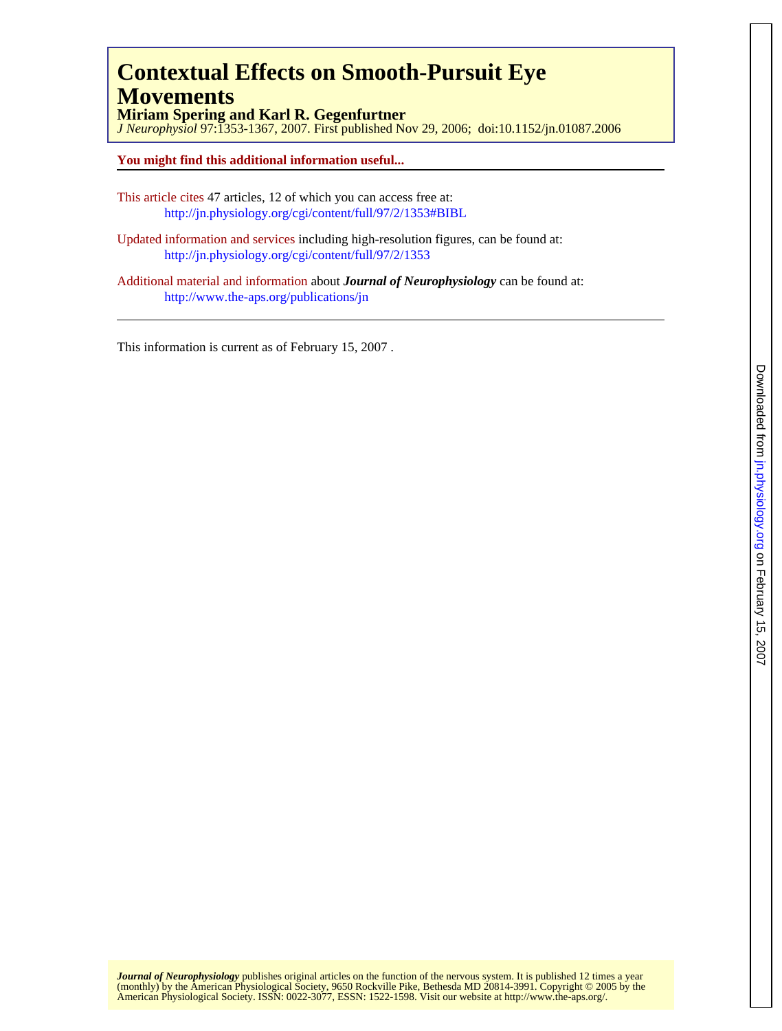# **Movements Contextual Effects on Smooth-Pursuit Eye**

**Miriam Spering and Karl R. Gegenfurtner** 

*J Neurophysiol* 97:1353-1367, 2007. First published Nov 29, 2006; doi:10.1152/jn.01087.2006

## **You might find this additional information useful...**

- This article cites 47 articles, 12 of which you can access free at: <http://jn.physiology.org/cgi/content/full/97/2/1353#BIBL>
- Updated information and services including high-resolution figures, can be found at: <http://jn.physiology.org/cgi/content/full/97/2/1353>
- Additional material and information about *Journal of Neurophysiology* can be found at: <http://www.the-aps.org/publications/jn>

This information is current as of February 15, 2007 .

American Physiological Society. ISSN: 0022-3077, ESSN: 1522-1598. Visit our website at [http://www.the-aps.org/.](http://www.the-aps.org/) (monthly) by the American Physiological Society, 9650 Rockville Pike, Bethesda MD 20814-3991. Copyright © 2005 by the *Journal of Neurophysiology* publishes original articles on the function of the nervous system. It is published 12 times a year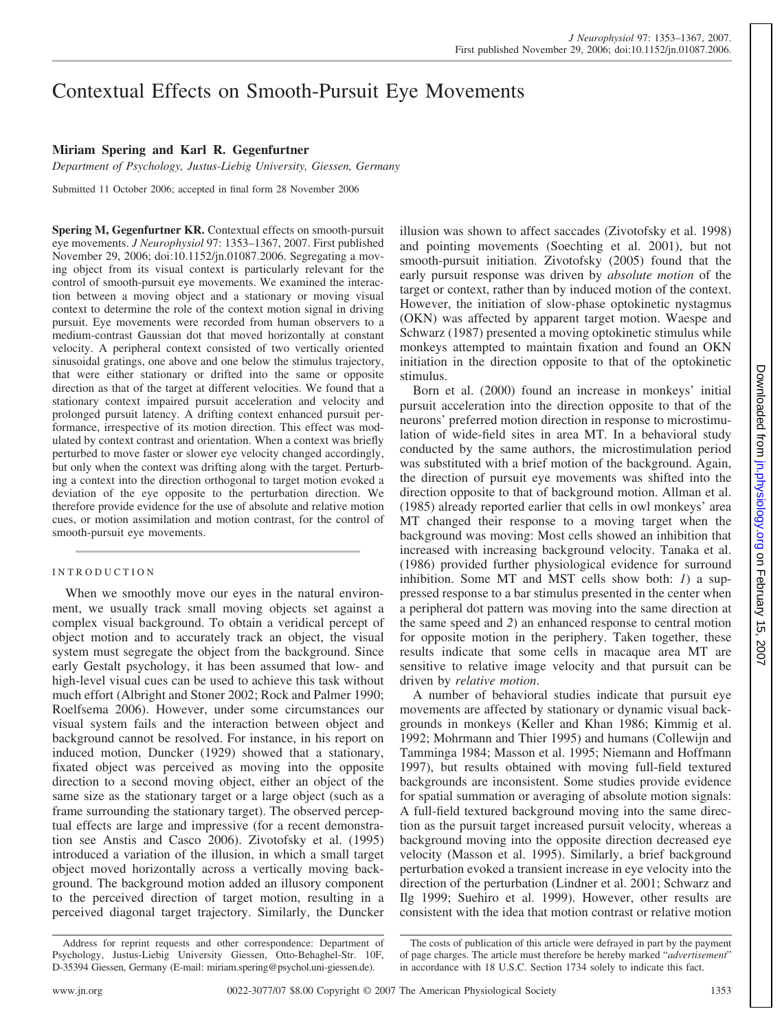# Contextual Effects on Smooth-Pursuit Eye Movements

## **Miriam Spering and Karl R. Gegenfurtner**

*Department of Psychology, Justus-Liebig University, Giessen, Germany*

Submitted 11 October 2006; accepted in final form 28 November 2006

**Spering M, Gegenfurtner KR.** Contextual effects on smooth-pursuit eye movements. *J Neurophysiol* 97: 1353–1367, 2007. First published November 29, 2006; doi:10.1152/jn.01087.2006. Segregating a moving object from its visual context is particularly relevant for the control of smooth-pursuit eye movements. We examined the interaction between a moving object and a stationary or moving visual context to determine the role of the context motion signal in driving pursuit. Eye movements were recorded from human observers to a medium-contrast Gaussian dot that moved horizontally at constant velocity. A peripheral context consisted of two vertically oriented sinusoidal gratings, one above and one below the stimulus trajectory, that were either stationary or drifted into the same or opposite direction as that of the target at different velocities. We found that a stationary context impaired pursuit acceleration and velocity and prolonged pursuit latency. A drifting context enhanced pursuit performance, irrespective of its motion direction. This effect was modulated by context contrast and orientation. When a context was briefly perturbed to move faster or slower eye velocity changed accordingly, but only when the context was drifting along with the target. Perturbing a context into the direction orthogonal to target motion evoked a deviation of the eye opposite to the perturbation direction. We therefore provide evidence for the use of absolute and relative motion cues, or motion assimilation and motion contrast, for the control of smooth-pursuit eye movements.

## INTRODUCTION

When we smoothly move our eyes in the natural environment, we usually track small moving objects set against a complex visual background. To obtain a veridical percept of object motion and to accurately track an object, the visual system must segregate the object from the background. Since early Gestalt psychology, it has been assumed that low- and high-level visual cues can be used to achieve this task without much effort (Albright and Stoner 2002; Rock and Palmer 1990; Roelfsema 2006). However, under some circumstances our visual system fails and the interaction between object and background cannot be resolved. For instance, in his report on induced motion, Duncker (1929) showed that a stationary, fixated object was perceived as moving into the opposite direction to a second moving object, either an object of the same size as the stationary target or a large object (such as a frame surrounding the stationary target). The observed perceptual effects are large and impressive (for a recent demonstration see Anstis and Casco 2006). Zivotofsky et al. (1995) introduced a variation of the illusion, in which a small target object moved horizontally across a vertically moving background. The background motion added an illusory component to the perceived direction of target motion, resulting in a perceived diagonal target trajectory. Similarly, the Duncker illusion was shown to affect saccades (Zivotofsky et al. 1998) and pointing movements (Soechting et al. 2001), but not smooth-pursuit initiation. Zivotofsky (2005) found that the early pursuit response was driven by *absolute motion* of the target or context, rather than by induced motion of the context. However, the initiation of slow-phase optokinetic nystagmus (OKN) was affected by apparent target motion. Waespe and Schwarz (1987) presented a moving optokinetic stimulus while monkeys attempted to maintain fixation and found an OKN initiation in the direction opposite to that of the optokinetic stimulus.

Born et al. (2000) found an increase in monkeys' initial pursuit acceleration into the direction opposite to that of the neurons' preferred motion direction in response to microstimulation of wide-field sites in area MT. In a behavioral study conducted by the same authors, the microstimulation period was substituted with a brief motion of the background. Again, the direction of pursuit eye movements was shifted into the direction opposite to that of background motion. Allman et al. (1985) already reported earlier that cells in owl monkeys' area MT changed their response to a moving target when the background was moving: Most cells showed an inhibition that increased with increasing background velocity. Tanaka et al. (1986) provided further physiological evidence for surround inhibition. Some MT and MST cells show both: *1*) a suppressed response to a bar stimulus presented in the center when a peripheral dot pattern was moving into the same direction at the same speed and *2*) an enhanced response to central motion for opposite motion in the periphery. Taken together, these results indicate that some cells in macaque area MT are sensitive to relative image velocity and that pursuit can be driven by *relative motion*.

A number of behavioral studies indicate that pursuit eye movements are affected by stationary or dynamic visual backgrounds in monkeys (Keller and Khan 1986; Kimmig et al. 1992; Mohrmann and Thier 1995) and humans (Collewijn and Tamminga 1984; Masson et al. 1995; Niemann and Hoffmann 1997), but results obtained with moving full-field textured backgrounds are inconsistent. Some studies provide evidence for spatial summation or averaging of absolute motion signals: A full-field textured background moving into the same direction as the pursuit target increased pursuit velocity, whereas a background moving into the opposite direction decreased eye velocity (Masson et al. 1995). Similarly, a brief background perturbation evoked a transient increase in eye velocity into the direction of the perturbation (Lindner et al. 2001; Schwarz and Ilg 1999; Suehiro et al. 1999). However, other results are consistent with the idea that motion contrast or relative motion

Address for reprint requests and other correspondence: Department of Psychology, Justus-Liebig University Giessen, Otto-Behaghel-Str. 10F, D-35394 Giessen, Germany (E-mail: miriam.spering@psychol.uni-giessen.de).

The costs of publication of this article were defrayed in part by the payment of page charges. The article must therefore be hereby marked "*advertisement*" in accordance with 18 U.S.C. Section 1734 solely to indicate this fact.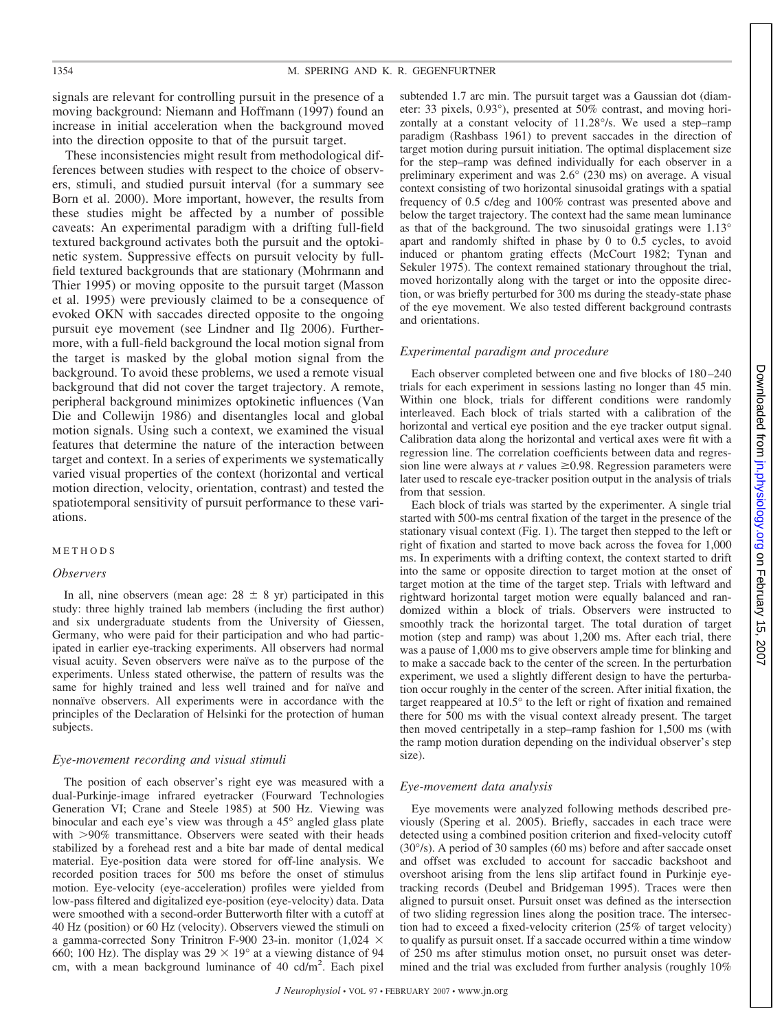signals are relevant for controlling pursuit in the presence of a moving background: Niemann and Hoffmann (1997) found an increase in initial acceleration when the background moved into the direction opposite to that of the pursuit target.

These inconsistencies might result from methodological differences between studies with respect to the choice of observers, stimuli, and studied pursuit interval (for a summary see Born et al. 2000). More important, however, the results from these studies might be affected by a number of possible caveats: An experimental paradigm with a drifting full-field textured background activates both the pursuit and the optokinetic system. Suppressive effects on pursuit velocity by fullfield textured backgrounds that are stationary (Mohrmann and Thier 1995) or moving opposite to the pursuit target (Masson et al. 1995) were previously claimed to be a consequence of evoked OKN with saccades directed opposite to the ongoing pursuit eye movement (see Lindner and Ilg 2006). Furthermore, with a full-field background the local motion signal from the target is masked by the global motion signal from the background. To avoid these problems, we used a remote visual background that did not cover the target trajectory. A remote, peripheral background minimizes optokinetic influences (Van Die and Collewijn 1986) and disentangles local and global motion signals. Using such a context, we examined the visual features that determine the nature of the interaction between target and context. In a series of experiments we systematically varied visual properties of the context (horizontal and vertical motion direction, velocity, orientation, contrast) and tested the spatiotemporal sensitivity of pursuit performance to these variations.

#### METHODS

#### *Observers*

In all, nine observers (mean age:  $28 \pm 8$  yr) participated in this study: three highly trained lab members (including the first author) and six undergraduate students from the University of Giessen, Germany, who were paid for their participation and who had participated in earlier eye-tracking experiments. All observers had normal visual acuity. Seven observers were naïve as to the purpose of the experiments. Unless stated otherwise, the pattern of results was the same for highly trained and less well trained and for naïve and nonnaïve observers. All experiments were in accordance with the principles of the Declaration of Helsinki for the protection of human subjects.

### *Eye-movement recording and visual stimuli*

The position of each observer's right eye was measured with a dual-Purkinje-image infrared eyetracker (Fourward Technologies Generation VI; Crane and Steele 1985) at 500 Hz. Viewing was binocular and each eye's view was through a 45° angled glass plate with >90% transmittance. Observers were seated with their heads stabilized by a forehead rest and a bite bar made of dental medical material. Eye-position data were stored for off-line analysis. We recorded position traces for 500 ms before the onset of stimulus motion. Eye-velocity (eye-acceleration) profiles were yielded from low-pass filtered and digitalized eye-position (eye-velocity) data. Data were smoothed with a second-order Butterworth filter with a cutoff at 40 Hz (position) or 60 Hz (velocity). Observers viewed the stimuli on a gamma-corrected Sony Trinitron F-900 23-in. monitor (1,024  $\times$ 660; 100 Hz). The display was  $29 \times 19^{\circ}$  at a viewing distance of 94 cm, with a mean background luminance of 40 cd/m<sup>2</sup>. Each pixel

subtended 1.7 arc min. The pursuit target was a Gaussian dot (diameter: 33 pixels, 0.93°), presented at 50% contrast, and moving horizontally at a constant velocity of 11.28°/s. We used a step–ramp paradigm (Rashbass 1961) to prevent saccades in the direction of target motion during pursuit initiation. The optimal displacement size for the step–ramp was defined individually for each observer in a preliminary experiment and was 2.6° (230 ms) on average. A visual context consisting of two horizontal sinusoidal gratings with a spatial frequency of 0.5 c/deg and 100% contrast was presented above and below the target trajectory. The context had the same mean luminance as that of the background. The two sinusoidal gratings were 1.13° apart and randomly shifted in phase by 0 to 0.5 cycles, to avoid induced or phantom grating effects (McCourt 1982; Tynan and Sekuler 1975). The context remained stationary throughout the trial, moved horizontally along with the target or into the opposite direction, or was briefly perturbed for 300 ms during the steady-state phase of the eye movement. We also tested different background contrasts and orientations.

## *Experimental paradigm and procedure*

Each observer completed between one and five blocks of 180 –240 trials for each experiment in sessions lasting no longer than 45 min. Within one block, trials for different conditions were randomly interleaved. Each block of trials started with a calibration of the horizontal and vertical eye position and the eye tracker output signal. Calibration data along the horizontal and vertical axes were fit with a regression line. The correlation coefficients between data and regression line were always at  $r$  values  $\geq 0.98$ . Regression parameters were later used to rescale eye-tracker position output in the analysis of trials from that session.

Each block of trials was started by the experimenter. A single trial started with 500-ms central fixation of the target in the presence of the stationary visual context (Fig. 1). The target then stepped to the left or right of fixation and started to move back across the fovea for 1,000 ms. In experiments with a drifting context, the context started to drift into the same or opposite direction to target motion at the onset of target motion at the time of the target step. Trials with leftward and rightward horizontal target motion were equally balanced and randomized within a block of trials. Observers were instructed to smoothly track the horizontal target. The total duration of target motion (step and ramp) was about 1,200 ms. After each trial, there was a pause of 1,000 ms to give observers ample time for blinking and to make a saccade back to the center of the screen. In the perturbation experiment, we used a slightly different design to have the perturbation occur roughly in the center of the screen. After initial fixation, the target reappeared at 10.5° to the left or right of fixation and remained there for 500 ms with the visual context already present. The target then moved centripetally in a step–ramp fashion for 1,500 ms (with the ramp motion duration depending on the individual observer's step size).

#### *Eye-movement data analysis*

Eye movements were analyzed following methods described previously (Spering et al. 2005). Briefly, saccades in each trace were detected using a combined position criterion and fixed-velocity cutoff (30°/s). A period of 30 samples (60 ms) before and after saccade onset and offset was excluded to account for saccadic backshoot and overshoot arising from the lens slip artifact found in Purkinje eyetracking records (Deubel and Bridgeman 1995). Traces were then aligned to pursuit onset. Pursuit onset was defined as the intersection of two sliding regression lines along the position trace. The intersection had to exceed a fixed-velocity criterion (25% of target velocity) to qualify as pursuit onset. If a saccade occurred within a time window of 250 ms after stimulus motion onset, no pursuit onset was determined and the trial was excluded from further analysis (roughly 10%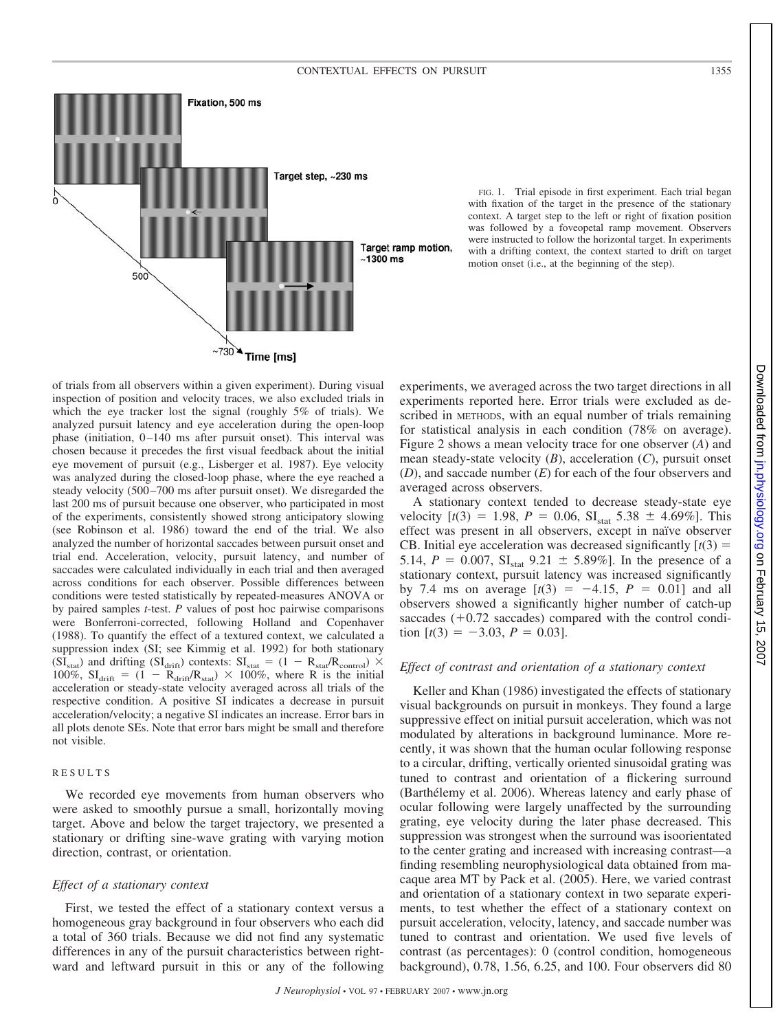

FIG. 1. Trial episode in first experiment. Each trial began with fixation of the target in the presence of the stationary context. A target step to the left or right of fixation position was followed by a foveopetal ramp movement. Observers were instructed to follow the horizontal target. In experiments with a drifting context, the context started to drift on target motion onset (i.e., at the beginning of the step).

of trials from all observers within a given experiment). During visual inspection of position and velocity traces, we also excluded trials in which the eye tracker lost the signal (roughly 5% of trials). We analyzed pursuit latency and eye acceleration during the open-loop phase (initiation, 0-140 ms after pursuit onset). This interval was chosen because it precedes the first visual feedback about the initial eye movement of pursuit (e.g., Lisberger et al. 1987). Eye velocity was analyzed during the closed-loop phase, where the eye reached a steady velocity (500 –700 ms after pursuit onset). We disregarded the last 200 ms of pursuit because one observer, who participated in most of the experiments, consistently showed strong anticipatory slowing (see Robinson et al. 1986) toward the end of the trial. We also analyzed the number of horizontal saccades between pursuit onset and trial end. Acceleration, velocity, pursuit latency, and number of saccades were calculated individually in each trial and then averaged across conditions for each observer. Possible differences between conditions were tested statistically by repeated-measures ANOVA or by paired samples *t*-test. *P* values of post hoc pairwise comparisons were Bonferroni-corrected, following Holland and Copenhaver (1988). To quantify the effect of a textured context, we calculated a suppression index (SI; see Kimmig et al. 1992) for both stationary (SI<sub>stat</sub>) and drifting (SI<sub>drift</sub>) contexts: SI<sub>stat</sub> =  $(1 - R_{stat}/R_{control}) \times$ 100%,  $SI_{drift} = (1 - R_{drift}/R_{stat}) \times 100\%$ , where R is the initial acceleration or steady-state velocity averaged across all trials of the respective condition. A positive SI indicates a decrease in pursuit acceleration/velocity; a negative SI indicates an increase. Error bars in all plots denote SEs. Note that error bars might be small and therefore not visible.

## RESULTS

We recorded eye movements from human observers who were asked to smoothly pursue a small, horizontally moving target. Above and below the target trajectory, we presented a stationary or drifting sine-wave grating with varying motion direction, contrast, or orientation.

#### *Effect of a stationary context*

First, we tested the effect of a stationary context versus a homogeneous gray background in four observers who each did a total of 360 trials. Because we did not find any systematic differences in any of the pursuit characteristics between rightward and leftward pursuit in this or any of the following experiments, we averaged across the two target directions in all experiments reported here. Error trials were excluded as described in METHODS, with an equal number of trials remaining for statistical analysis in each condition (78% on average). Figure 2 shows a mean velocity trace for one observer (*A*) and mean steady-state velocity (*B*), acceleration (*C*), pursuit onset (*D*), and saccade number (*E*) for each of the four observers and averaged across observers.

A stationary context tended to decrease steady-state eye velocity  $[t(3) = 1.98, P = 0.06, SI<sub>stat</sub> 5.38 \pm 4.69\%]$ . This effect was present in all observers, except in naïve observer CB. Initial eye acceleration was decreased significantly  $[t(3)$  = 5.14,  $P = 0.007$ ,  $SI<sub>stat</sub>$  9.21  $\pm$  5.89%]. In the presence of a stationary context, pursuit latency was increased significantly by 7.4 ms on average  $[t(3) = -4.15, P = 0.01]$  and all observers showed a significantly higher number of catch-up saccades  $(+0.72$  saccades) compared with the control condition  $[t(3) = -3.03, P = 0.03]$ .

## *Effect of contrast and orientation of a stationary context*

Keller and Khan (1986) investigated the effects of stationary visual backgrounds on pursuit in monkeys. They found a large suppressive effect on initial pursuit acceleration, which was not modulated by alterations in background luminance. More recently, it was shown that the human ocular following response to a circular, drifting, vertically oriented sinusoidal grating was tuned to contrast and orientation of a flickering surround (Barthélemy et al. 2006). Whereas latency and early phase of ocular following were largely unaffected by the surrounding grating, eye velocity during the later phase decreased. This suppression was strongest when the surround was isoorientated to the center grating and increased with increasing contrast—a finding resembling neurophysiological data obtained from macaque area MT by Pack et al. (2005). Here, we varied contrast and orientation of a stationary context in two separate experiments, to test whether the effect of a stationary context on pursuit acceleration, velocity, latency, and saccade number was tuned to contrast and orientation. We used five levels of contrast (as percentages): 0 (control condition, homogeneous background), 0.78, 1.56, 6.25, and 100. Four observers did 80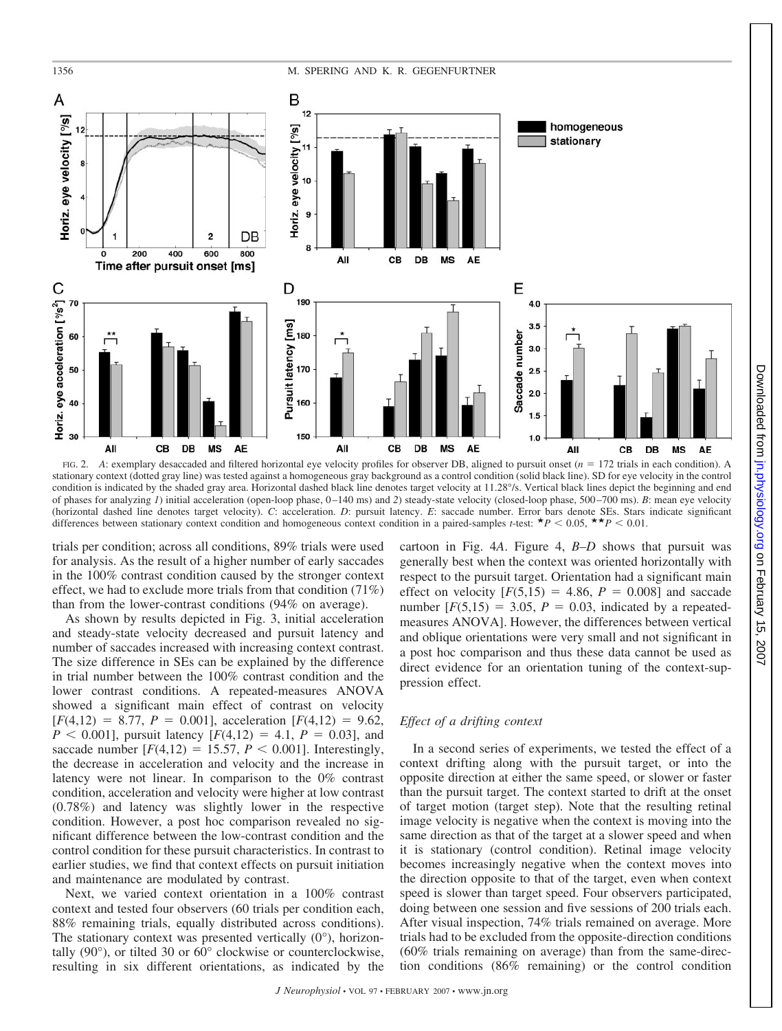

FIG. 2. A: exemplary desaccaded and filtered horizontal eye velocity profiles for observer DB, aligned to pursuit onset  $(n = 172 \text{ trials in each condition})$ . A stationary context (dotted gray line) was tested against a homogeneous gray background as a control condition (solid black line). SD for eye velocity in the control condition is indicated by the shaded gray area. Horizontal dashed black line denotes target velocity at 11.28°/s. Vertical black lines depict the beginning and end of phases for analyzing *1*) initial acceleration (open-loop phase, 0 –140 ms) and *2*) steady-state velocity (closed-loop phase, 500 –700 ms). *B*: mean eye velocity (horizontal dashed line denotes target velocity). *C*: acceleration. *D*: pursuit latency. *E*: saccade number. Error bars denote SEs. Stars indicate significant differences between stationary context condition and homogeneous context condition in a paired-samples *t*-test:  $\star P$  < 0.05,  $\star \star P$  < 0.01.

trials per condition; across all conditions, 89% trials were used for analysis. As the result of a higher number of early saccades in the 100% contrast condition caused by the stronger context effect, we had to exclude more trials from that condition (71%) than from the lower-contrast conditions (94% on average).

As shown by results depicted in Fig. 3, initial acceleration and steady-state velocity decreased and pursuit latency and number of saccades increased with increasing context contrast. The size difference in SEs can be explained by the difference in trial number between the 100% contrast condition and the lower contrast conditions. A repeated-measures ANOVA showed a significant main effect of contrast on velocity  $[F(4,12) = 8.77, P = 0.001]$ , acceleration  $[F(4,12) = 9.62]$ ,  $P \le 0.001$ , pursuit latency  $[F(4,12) = 4.1, P = 0.03]$ , and saccade number  $[F(4,12) = 15.57, P \le 0.001]$ . Interestingly, the decrease in acceleration and velocity and the increase in latency were not linear. In comparison to the 0% contrast condition, acceleration and velocity were higher at low contrast (0.78%) and latency was slightly lower in the respective condition. However, a post hoc comparison revealed no significant difference between the low-contrast condition and the control condition for these pursuit characteristics. In contrast to earlier studies, we find that context effects on pursuit initiation and maintenance are modulated by contrast.

Next, we varied context orientation in a 100% contrast context and tested four observers (60 trials per condition each, 88% remaining trials, equally distributed across conditions). The stationary context was presented vertically  $(0^{\circ})$ , horizontally (90°), or tilted 30 or 60° clockwise or counterclockwise, resulting in six different orientations, as indicated by the cartoon in Fig. 4*A*. Figure 4, *B*–*D* shows that pursuit was generally best when the context was oriented horizontally with respect to the pursuit target. Orientation had a significant main effect on velocity  $[F(5,15) = 4.86, P = 0.008]$  and saccade number  $[F(5,15) = 3.05, P = 0.03,$  indicated by a repeatedmeasures ANOVA]. However, the differences between vertical and oblique orientations were very small and not significant in a post hoc comparison and thus these data cannot be used as direct evidence for an orientation tuning of the context-suppression effect.

## *Effect of a drifting context*

In a second series of experiments, we tested the effect of a context drifting along with the pursuit target, or into the opposite direction at either the same speed, or slower or faster than the pursuit target. The context started to drift at the onset of target motion (target step). Note that the resulting retinal image velocity is negative when the context is moving into the same direction as that of the target at a slower speed and when it is stationary (control condition). Retinal image velocity becomes increasingly negative when the context moves into the direction opposite to that of the target, even when context speed is slower than target speed. Four observers participated, doing between one session and five sessions of 200 trials each. After visual inspection, 74% trials remained on average. More trials had to be excluded from the opposite-direction conditions (60% trials remaining on average) than from the same-direction conditions (86% remaining) or the control condition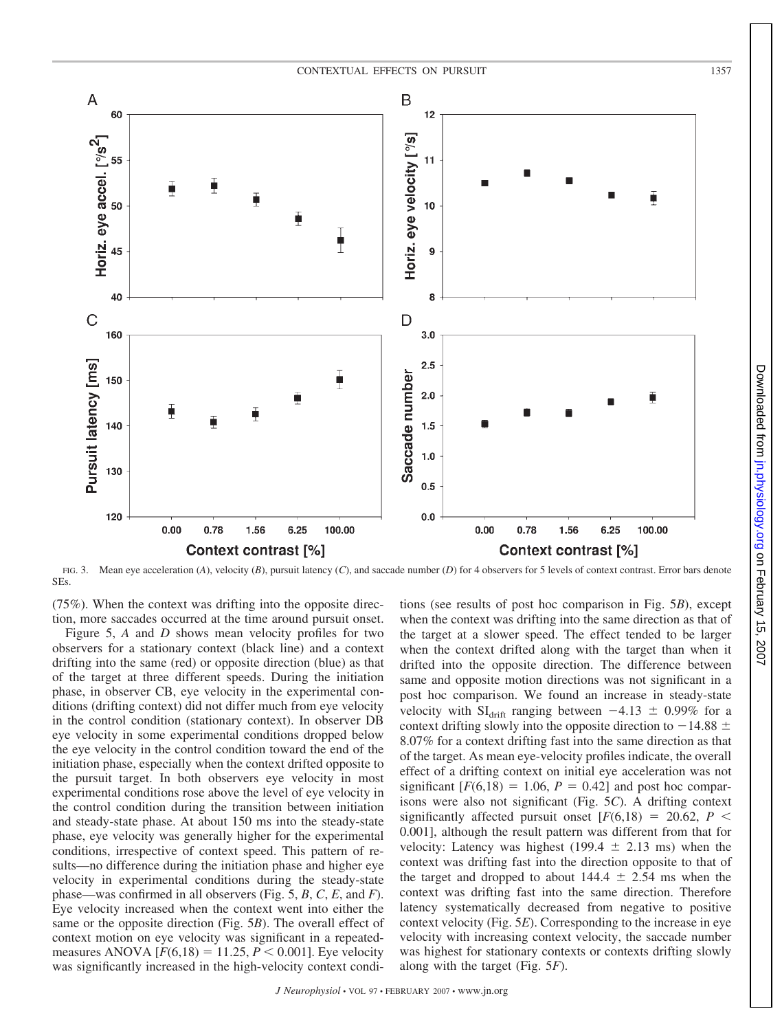

FIG. 3. Mean eye acceleration (*A*), velocity (*B*), pursuit latency (*C*), and saccade number (*D*) for 4 observers for 5 levels of context contrast. Error bars denote SEs.

(75%). When the context was drifting into the opposite direction, more saccades occurred at the time around pursuit onset.

Figure 5, *A* and *D* shows mean velocity profiles for two observers for a stationary context (black line) and a context drifting into the same (red) or opposite direction (blue) as that of the target at three different speeds. During the initiation phase, in observer CB, eye velocity in the experimental conditions (drifting context) did not differ much from eye velocity in the control condition (stationary context). In observer DB eye velocity in some experimental conditions dropped below the eye velocity in the control condition toward the end of the initiation phase, especially when the context drifted opposite to the pursuit target. In both observers eye velocity in most experimental conditions rose above the level of eye velocity in the control condition during the transition between initiation and steady-state phase. At about 150 ms into the steady-state phase, eye velocity was generally higher for the experimental conditions, irrespective of context speed. This pattern of results—no difference during the initiation phase and higher eye velocity in experimental conditions during the steady-state phase—was confirmed in all observers (Fig. 5, *B*, *C*, *E*, and *F*). Eye velocity increased when the context went into either the same or the opposite direction (Fig. 5*B*). The overall effect of context motion on eye velocity was significant in a repeatedmeasures ANOVA  $[F(6,18) = 11.25, P < 0.001]$ . Eye velocity was significantly increased in the high-velocity context conditions (see results of post hoc comparison in Fig. 5*B*), except when the context was drifting into the same direction as that of the target at a slower speed. The effect tended to be larger when the context drifted along with the target than when it drifted into the opposite direction. The difference between same and opposite motion directions was not significant in a post hoc comparison. We found an increase in steady-state velocity with  $SI<sub>drift</sub>$  ranging between  $-4.13 \pm 0.99\%$  for a context drifting slowly into the opposite direction to  $-14.88 \pm$ 8.07% for a context drifting fast into the same direction as that of the target. As mean eye-velocity profiles indicate, the overall effect of a drifting context on initial eye acceleration was not significant  $[F(6,18) = 1.06, P = 0.42]$  and post hoc comparisons were also not significant (Fig. 5*C*). A drifting context significantly affected pursuit onset  $[F(6,18) = 20.62, P \le$ 0.001], although the result pattern was different from that for velocity: Latency was highest (199.4  $\pm$  2.13 ms) when the context was drifting fast into the direction opposite to that of the target and dropped to about  $144.4 \pm 2.54$  ms when the context was drifting fast into the same direction. Therefore latency systematically decreased from negative to positive context velocity (Fig. 5*E*). Corresponding to the increase in eye velocity with increasing context velocity, the saccade number was highest for stationary contexts or contexts drifting slowly along with the target (Fig. 5*F*).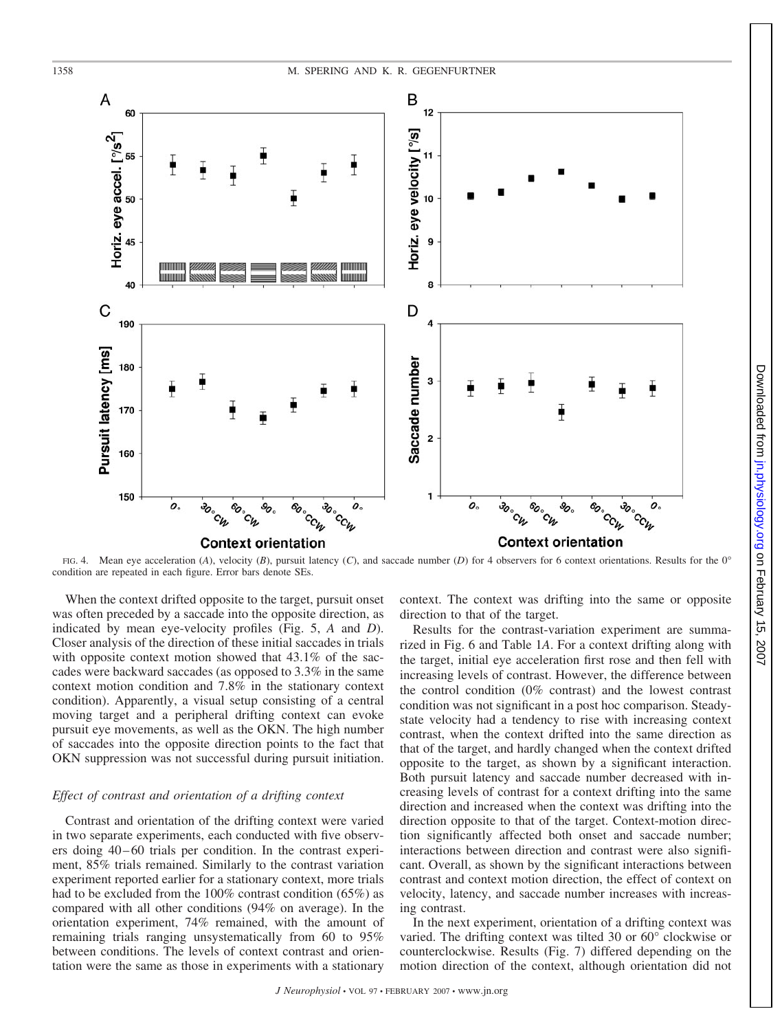

FIG. 4. Mean eye acceleration (A), velocity (B), pursuit latency (C), and saccade number (D) for 4 observers for 6 context orientations. Results for the 0° condition are repeated in each figure. Error bars denote SEs.

When the context drifted opposite to the target, pursuit onset was often preceded by a saccade into the opposite direction, as indicated by mean eye-velocity profiles (Fig. 5, *A* and *D*). Closer analysis of the direction of these initial saccades in trials with opposite context motion showed that 43.1% of the saccades were backward saccades (as opposed to 3.3% in the same context motion condition and 7.8% in the stationary context condition). Apparently, a visual setup consisting of a central moving target and a peripheral drifting context can evoke pursuit eye movements, as well as the OKN. The high number of saccades into the opposite direction points to the fact that OKN suppression was not successful during pursuit initiation.

## *Effect of contrast and orientation of a drifting context*

Contrast and orientation of the drifting context were varied in two separate experiments, each conducted with five observers doing 40–60 trials per condition. In the contrast experiment, 85% trials remained. Similarly to the contrast variation experiment reported earlier for a stationary context, more trials had to be excluded from the 100% contrast condition (65%) as compared with all other conditions (94% on average). In the orientation experiment, 74% remained, with the amount of remaining trials ranging unsystematically from 60 to 95% between conditions. The levels of context contrast and orientation were the same as those in experiments with a stationary

context. The context was drifting into the same or opposite direction to that of the target.

Results for the contrast-variation experiment are summarized in Fig. 6 and Table 1*A*. For a context drifting along with the target, initial eye acceleration first rose and then fell with increasing levels of contrast. However, the difference between the control condition (0% contrast) and the lowest contrast condition was not significant in a post hoc comparison. Steadystate velocity had a tendency to rise with increasing context contrast, when the context drifted into the same direction as that of the target, and hardly changed when the context drifted opposite to the target, as shown by a significant interaction. Both pursuit latency and saccade number decreased with increasing levels of contrast for a context drifting into the same direction and increased when the context was drifting into the direction opposite to that of the target. Context-motion direction significantly affected both onset and saccade number; interactions between direction and contrast were also significant. Overall, as shown by the significant interactions between contrast and context motion direction, the effect of context on velocity, latency, and saccade number increases with increasing contrast.

In the next experiment, orientation of a drifting context was varied. The drifting context was tilted 30 or 60° clockwise or counterclockwise. Results (Fig. 7) differed depending on the motion direction of the context, although orientation did not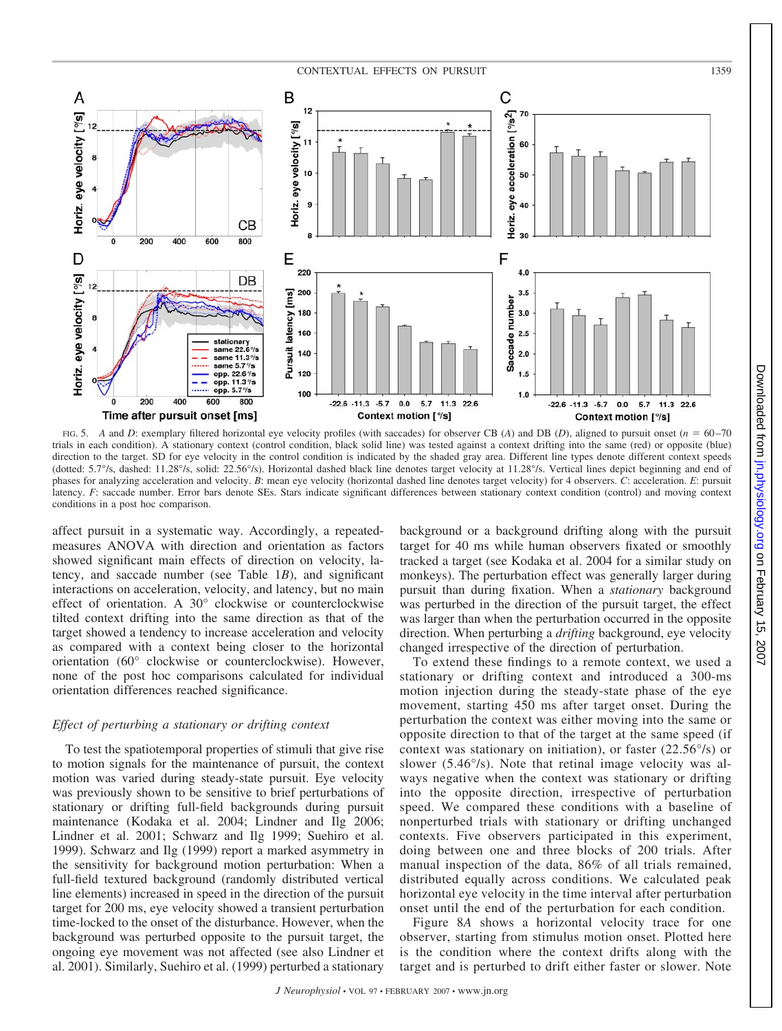#### CONTEXTUAL EFFECTS ON PURSUIT



FIG. 5. A and D: exemplary filtered horizontal eye velocity profiles (with saccades) for observer CB (A) and DB (D), aligned to pursuit onset ( $n = 60-70$ trials in each condition). A stationary context (control condition, black solid line) was tested against a context drifting into the same (red) or opposite (blue) direction to the target. SD for eye velocity in the control condition is indicated by the shaded gray area. Different line types denote different context speeds (dotted: 5.7°/s, dashed: 11.28°/s, solid: 22.56°/s). Horizontal dashed black line denotes target velocity at 11.28°/s. Vertical lines depict beginning and end of phases for analyzing acceleration and velocity. *B*: mean eye velocity (horizontal dashed line denotes target velocity) for 4 observers. *C*: acceleration. *E*: pursuit latency. *F*: saccade number. Error bars denote SEs. Stars indicate significant differences between stationary context condition (control) and moving context conditions in a post hoc comparison.

affect pursuit in a systematic way. Accordingly, a repeatedmeasures ANOVA with direction and orientation as factors showed significant main effects of direction on velocity, latency, and saccade number (see Table 1*B*), and significant interactions on acceleration, velocity, and latency, but no main effect of orientation. A 30° clockwise or counterclockwise tilted context drifting into the same direction as that of the target showed a tendency to increase acceleration and velocity as compared with a context being closer to the horizontal orientation (60° clockwise or counterclockwise). However, none of the post hoc comparisons calculated for individual orientation differences reached significance.

#### *Effect of perturbing a stationary or drifting context*

To test the spatiotemporal properties of stimuli that give rise to motion signals for the maintenance of pursuit, the context motion was varied during steady-state pursuit. Eye velocity was previously shown to be sensitive to brief perturbations of stationary or drifting full-field backgrounds during pursuit maintenance (Kodaka et al. 2004; Lindner and Ilg 2006; Lindner et al. 2001; Schwarz and Ilg 1999; Suehiro et al. 1999). Schwarz and Ilg (1999) report a marked asymmetry in the sensitivity for background motion perturbation: When a full-field textured background (randomly distributed vertical line elements) increased in speed in the direction of the pursuit target for 200 ms, eye velocity showed a transient perturbation time-locked to the onset of the disturbance. However, when the background was perturbed opposite to the pursuit target, the ongoing eye movement was not affected (see also Lindner et al. 2001). Similarly, Suehiro et al. (1999) perturbed a stationary

background or a background drifting along with the pursuit target for 40 ms while human observers fixated or smoothly tracked a target (see Kodaka et al. 2004 for a similar study on monkeys). The perturbation effect was generally larger during pursuit than during fixation. When a *stationary* background was perturbed in the direction of the pursuit target, the effect was larger than when the perturbation occurred in the opposite direction. When perturbing a *drifting* background, eye velocity changed irrespective of the direction of perturbation.

To extend these findings to a remote context, we used a stationary or drifting context and introduced a 300-ms motion injection during the steady-state phase of the eye movement, starting 450 ms after target onset. During the perturbation the context was either moving into the same or opposite direction to that of the target at the same speed (if context was stationary on initiation), or faster (22.56°/s) or slower (5.46°/s). Note that retinal image velocity was always negative when the context was stationary or drifting into the opposite direction, irrespective of perturbation speed. We compared these conditions with a baseline of nonperturbed trials with stationary or drifting unchanged contexts. Five observers participated in this experiment, doing between one and three blocks of 200 trials. After manual inspection of the data, 86% of all trials remained, distributed equally across conditions. We calculated peak horizontal eye velocity in the time interval after perturbation onset until the end of the perturbation for each condition.

Figure 8*A* shows a horizontal velocity trace for one observer, starting from stimulus motion onset. Plotted here is the condition where the context drifts along with the target and is perturbed to drift either faster or slower. Note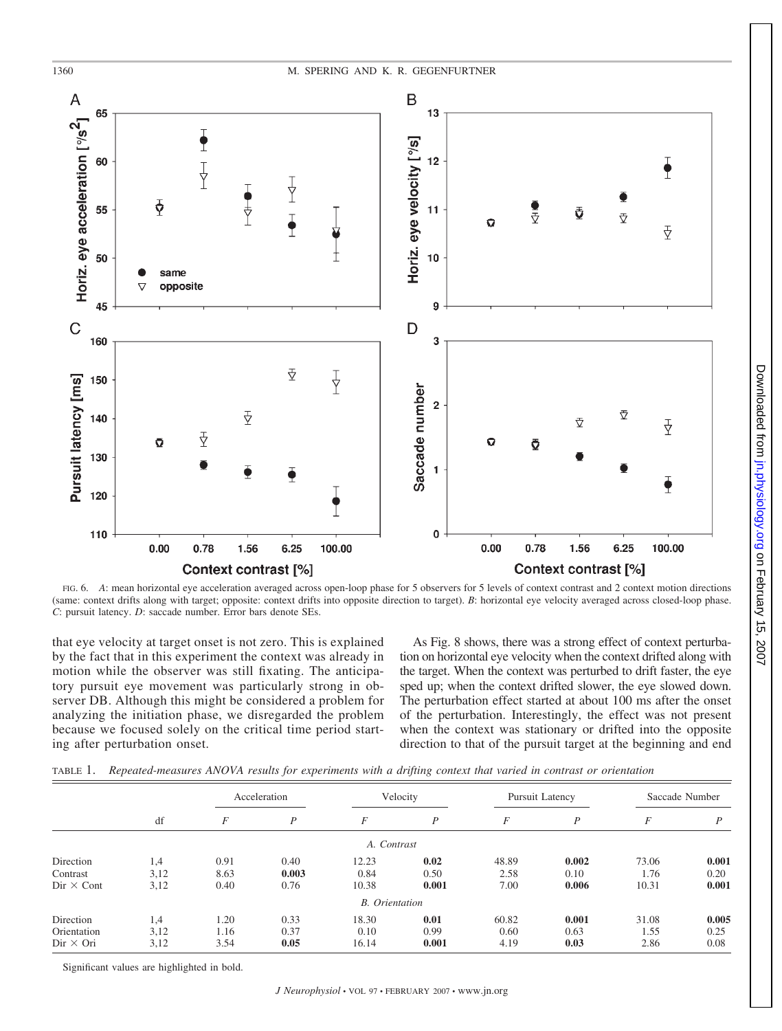

FIG. 6. A: mean horizontal eye acceleration averaged across open-loop phase for 5 observers for 5 levels of context contrast and 2 context motion directions (same: context drifts along with target; opposite: context drifts into opposite direction to target). *B*: horizontal eye velocity averaged across closed-loop phase. *C*: pursuit latency. *D*: saccade number. Error bars denote SEs.

that eye velocity at target onset is not zero. This is explained by the fact that in this experiment the context was already in motion while the observer was still fixating. The anticipatory pursuit eye movement was particularly strong in observer DB. Although this might be considered a problem for analyzing the initiation phase, we disregarded the problem because we focused solely on the critical time period starting after perturbation onset.

As Fig. 8 shows, there was a strong effect of context perturbation on horizontal eye velocity when the context drifted along with the target. When the context was perturbed to drift faster, the eye sped up; when the context drifted slower, the eye slowed down. The perturbation effect started at about 100 ms after the onset of the perturbation. Interestingly, the effect was not present when the context was stationary or drifted into the opposite direction to that of the pursuit target at the beginning and end

|  | TABLE 1. Repeated-measures ANOVA results for experiments with a drifting context that varied in contrast or orientation |  |  |  |  |  |  |  |  |
|--|-------------------------------------------------------------------------------------------------------------------------|--|--|--|--|--|--|--|--|
|--|-------------------------------------------------------------------------------------------------------------------------|--|--|--|--|--|--|--|--|

|                   |      |      | Acceleration |                       | Velocity |       | Pursuit Latency |       | Saccade Number |  |
|-------------------|------|------|--------------|-----------------------|----------|-------|-----------------|-------|----------------|--|
|                   | df   | F    | P            | F                     | P        | F     | P               | F     | P              |  |
|                   |      |      |              | A. Contrast           |          |       |                 |       |                |  |
| Direction         | 1,4  | 0.91 | 0.40         | 12.23                 | 0.02     | 48.89 | 0.002           | 73.06 | 0.001          |  |
| Contrast          | 3,12 | 8.63 | 0.003        | 0.84                  | 0.50     | 2.58  | 0.10            | 1.76  | 0.20           |  |
| $Dir \times$ Cont | 3,12 | 0.40 | 0.76         | 10.38                 | 0.001    | 7.00  | 0.006           | 10.31 | 0.001          |  |
|                   |      |      |              | <b>B.</b> Orientation |          |       |                 |       |                |  |
| Direction         | 1,4  | 1.20 | 0.33         | 18.30                 | 0.01     | 60.82 | 0.001           | 31.08 | 0.005          |  |
| Orientation       | 3,12 | 1.16 | 0.37         | 0.10                  | 0.99     | 0.60  | 0.63            | 1.55  | 0.25           |  |
| $Dir \times Ori$  | 3,12 | 3.54 | 0.05         | 16.14                 | 0.001    | 4.19  | 0.03            | 2.86  | 0.08           |  |

Significant values are highlighted in bold.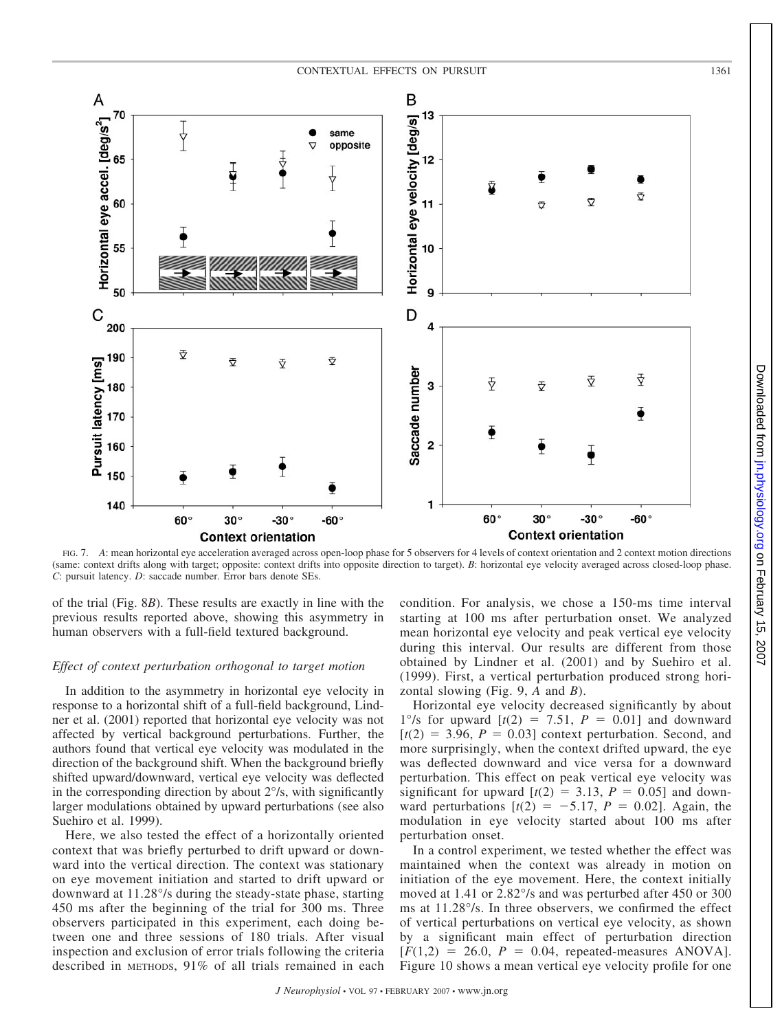

FIG. 7. *A*: mean horizontal eye acceleration averaged across open-loop phase for 5 observers for 4 levels of context orientation and 2 context motion directions (same: context drifts along with target; opposite: context drifts into opposite direction to target). *B*: horizontal eye velocity averaged across closed-loop phase. *C*: pursuit latency. *D*: saccade number. Error bars denote SEs.

of the trial (Fig. 8*B*). These results are exactly in line with the previous results reported above, showing this asymmetry in human observers with a full-field textured background.

## *Effect of context perturbation orthogonal to target motion*

In addition to the asymmetry in horizontal eye velocity in response to a horizontal shift of a full-field background, Lindner et al. (2001) reported that horizontal eye velocity was not affected by vertical background perturbations. Further, the authors found that vertical eye velocity was modulated in the direction of the background shift. When the background briefly shifted upward/downward, vertical eye velocity was deflected in the corresponding direction by about 2°/s, with significantly larger modulations obtained by upward perturbations (see also Suehiro et al. 1999).

Here, we also tested the effect of a horizontally oriented context that was briefly perturbed to drift upward or downward into the vertical direction. The context was stationary on eye movement initiation and started to drift upward or downward at 11.28°/s during the steady-state phase, starting 450 ms after the beginning of the trial for 300 ms. Three observers participated in this experiment, each doing between one and three sessions of 180 trials. After visual inspection and exclusion of error trials following the criteria described in METHODS, 91% of all trials remained in each condition. For analysis, we chose a 150-ms time interval starting at 100 ms after perturbation onset. We analyzed mean horizontal eye velocity and peak vertical eye velocity during this interval. Our results are different from those obtained by Lindner et al. (2001) and by Suehiro et al. (1999). First, a vertical perturbation produced strong horizontal slowing (Fig. 9, *A* and *B*).

Horizontal eye velocity decreased significantly by about 1°/s for upward  $[t(2) = 7.51, P = 0.01]$  and downward  $[t(2) = 3.96, P = 0.03]$  context perturbation. Second, and more surprisingly, when the context drifted upward, the eye was deflected downward and vice versa for a downward perturbation. This effect on peak vertical eye velocity was significant for upward  $[t(2) = 3.13, P = 0.05]$  and downward perturbations  $[t(2) = -5.17, P = 0.02]$ . Again, the modulation in eye velocity started about 100 ms after perturbation onset.

In a control experiment, we tested whether the effect was maintained when the context was already in motion on initiation of the eye movement. Here, the context initially moved at 1.41 or 2.82°/s and was perturbed after 450 or 300 ms at 11.28°/s. In three observers, we confirmed the effect of vertical perturbations on vertical eye velocity, as shown by a significant main effect of perturbation direction  $[F(1,2) = 26.0, P = 0.04,$  repeated-measures ANOVA]. Figure 10 shows a mean vertical eye velocity profile for one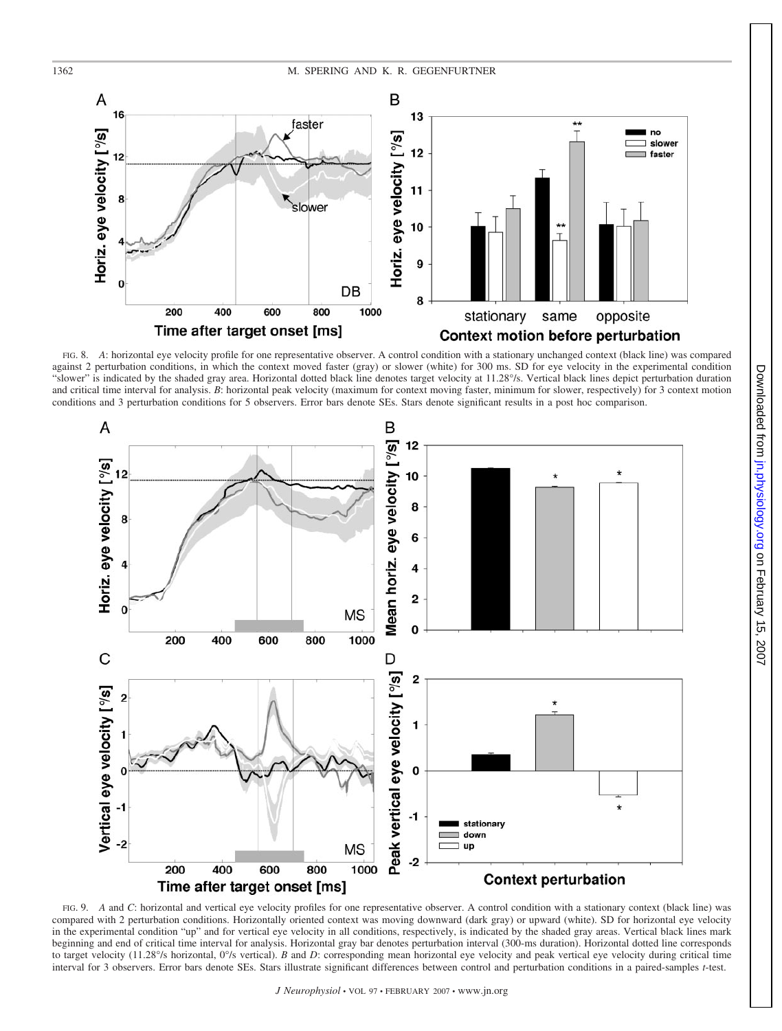

FIG. 8. A: horizontal eye velocity profile for one representative observer. A control condition with a stationary unchanged context (black line) was compared against 2 perturbation conditions, in which the context moved faster (gray) or slower (white) for 300 ms. SD for eye velocity in the experimental condition "slower" is indicated by the shaded gray area. Horizontal dotted black line denotes target velocity at 11.28°/s. Vertical black lines depict perturbation duration and critical time interval for analysis. *B*: horizontal peak velocity (maximum for context moving faster, minimum for slower, respectively) for 3 context motion conditions and 3 perturbation conditions for 5 observers. Error bars denote SEs. Stars denote significant results in a post hoc comparison.



FIG. 9. A and C: horizontal and vertical eye velocity profiles for one representative observer. A control condition with a stationary context (black line) was compared with 2 perturbation conditions. Horizontally oriented context was moving downward (dark gray) or upward (white). SD for horizontal eye velocity in the experimental condition "up" and for vertical eye velocity in all conditions, respectively, is indicated by the shaded gray areas. Vertical black lines mark beginning and end of critical time interval for analysis. Horizontal gray bar denotes perturbation interval (300-ms duration). Horizontal dotted line corresponds to target velocity (11.28°/s horizontal, 0°/s vertical). *B* and *D*: corresponding mean horizontal eye velocity and peak vertical eye velocity during critical time interval for 3 observers. Error bars denote SEs. Stars illustrate significant differences between control and perturbation conditions in a paired-samples *t*-test.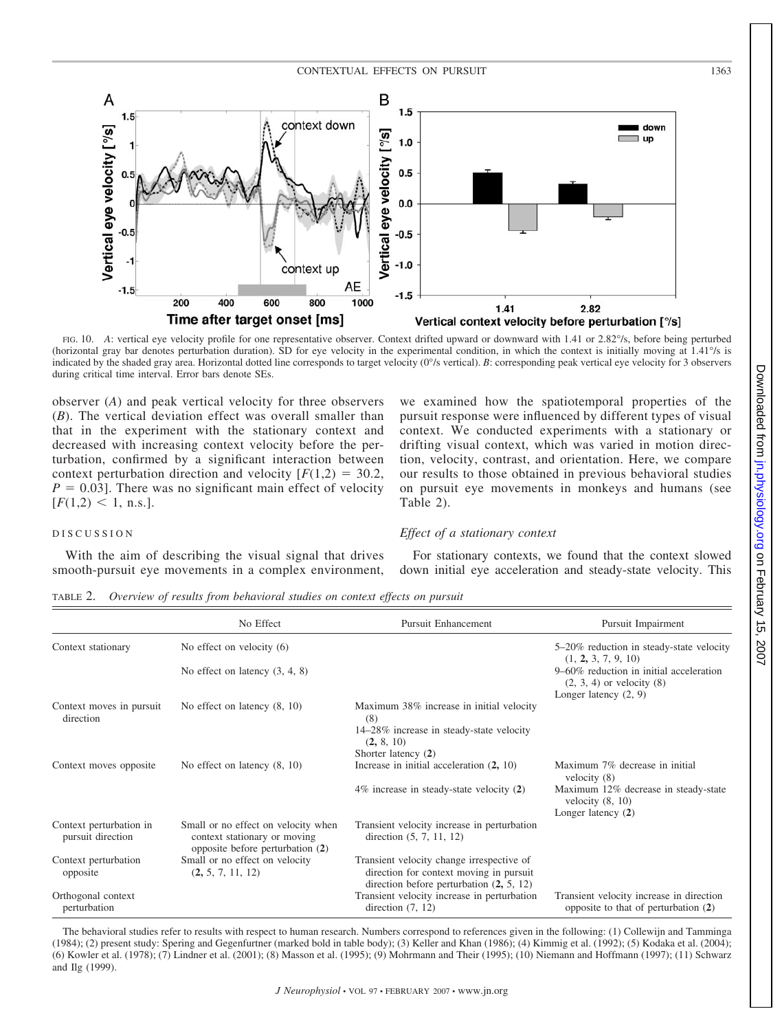

FIG. 10. A: vertical eye velocity profile for one representative observer. Context drifted upward or downward with 1.41 or 2.82°/s, before being perturbed (horizontal gray bar denotes perturbation duration). SD for eye velocity in the experimental condition, in which the context is initially moving at 1.41°/s is indicated by the shaded gray area. Horizontal dotted line corresponds to target velocity (0°/s vertical). *B*: corresponding peak vertical eye velocity for 3 observers during critical time interval. Error bars denote SEs.

observer (*A*) and peak vertical velocity for three observers (*B*). The vertical deviation effect was overall smaller than that in the experiment with the stationary context and decreased with increasing context velocity before the perturbation, confirmed by a significant interaction between context perturbation direction and velocity  $[F(1,2) = 30.2]$ ,  $P = 0.03$ ]. There was no significant main effect of velocity  $[F(1,2) < 1, n.s.].$ 

we examined how the spatiotemporal properties of the pursuit response were influenced by different types of visual context. We conducted experiments with a stationary or drifting visual context, which was varied in motion direction, velocity, contrast, and orientation. Here, we compare our results to those obtained in previous behavioral studies on pursuit eye movements in monkeys and humans (see Table 2).

### DISCUSSION

With the aim of describing the visual signal that drives smooth-pursuit eye movements in a complex environment,

For stationary contexts, we found that the context slowed down initial eye acceleration and steady-state velocity. This

*Effect of a stationary context*

TABLE 2. *Overview of results from behavioral studies on context effects on pursuit*

|                                              | No Effect                                                                                               | <b>Pursuit Enhancement</b>                                                                                                         | Pursuit Impairment                                                                                  |
|----------------------------------------------|---------------------------------------------------------------------------------------------------------|------------------------------------------------------------------------------------------------------------------------------------|-----------------------------------------------------------------------------------------------------|
| Context stationary                           | No effect on velocity $(6)$                                                                             |                                                                                                                                    | 5–20% reduction in steady-state velocity<br>(1, 2, 3, 7, 9, 10)                                     |
|                                              | No effect on latency $(3, 4, 8)$                                                                        |                                                                                                                                    | 9–60% reduction in initial acceleration<br>$(2, 3, 4)$ or velocity $(8)$<br>Longer latency $(2, 9)$ |
| Context moves in pursuit<br>direction        | No effect on latency $(8, 10)$                                                                          | Maximum 38% increase in initial velocity<br>(8)                                                                                    |                                                                                                     |
|                                              |                                                                                                         | 14–28% increase in steady-state velocity<br>(2, 8, 10)                                                                             |                                                                                                     |
|                                              |                                                                                                         | Shorter latency (2)                                                                                                                |                                                                                                     |
| Context moves opposite                       | No effect on latency $(8, 10)$                                                                          | Increase in initial acceleration $(2, 10)$                                                                                         | Maximum 7% decrease in initial<br>velocity $(8)$                                                    |
|                                              |                                                                                                         | 4% increase in steady-state velocity (2)                                                                                           | Maximum 12% decrease in steady-state<br>velocity $(8, 10)$<br>Longer latency $(2)$                  |
| Context perturbation in<br>pursuit direction | Small or no effect on velocity when<br>context stationary or moving<br>opposite before perturbation (2) | Transient velocity increase in perturbation<br>direction $(5, 7, 11, 12)$                                                          |                                                                                                     |
| Context perturbation<br>opposite             | Small or no effect on velocity<br>(2, 5, 7, 11, 12)                                                     | Transient velocity change irrespective of<br>direction for context moving in pursuit<br>direction before perturbation $(2, 5, 12)$ |                                                                                                     |
| Orthogonal context<br>perturbation           |                                                                                                         | Transient velocity increase in perturbation<br>direction $(7, 12)$                                                                 | Transient velocity increase in direction<br>opposite to that of perturbation (2)                    |

The behavioral studies refer to results with respect to human research. Numbers correspond to references given in the following: (1) Collewijn and Tamminga (1984); (2) present study: Spering and Gegenfurtner (marked bold in table body); (3) Keller and Khan (1986); (4) Kimmig et al. (1992); (5) Kodaka et al. (2004); (6) Kowler et al. (1978); (7) Lindner et al. (2001); (8) Masson et al. (1995); (9) Mohrmann and Their (1995); (10) Niemann and Hoffmann (1997); (11) Schwarz and Ilg (1999).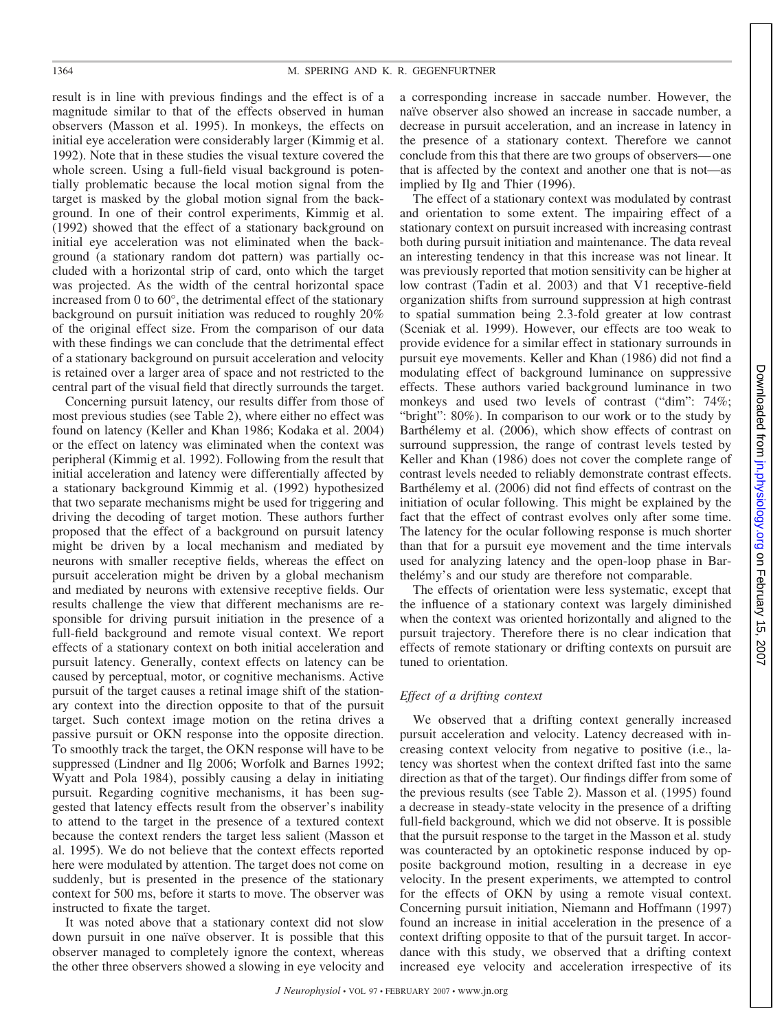result is in line with previous findings and the effect is of a magnitude similar to that of the effects observed in human observers (Masson et al. 1995). In monkeys, the effects on initial eye acceleration were considerably larger (Kimmig et al. 1992). Note that in these studies the visual texture covered the whole screen. Using a full-field visual background is potentially problematic because the local motion signal from the target is masked by the global motion signal from the background. In one of their control experiments, Kimmig et al. (1992) showed that the effect of a stationary background on initial eye acceleration was not eliminated when the background (a stationary random dot pattern) was partially occluded with a horizontal strip of card, onto which the target was projected. As the width of the central horizontal space increased from 0 to 60°, the detrimental effect of the stationary background on pursuit initiation was reduced to roughly 20% of the original effect size. From the comparison of our data with these findings we can conclude that the detrimental effect of a stationary background on pursuit acceleration and velocity is retained over a larger area of space and not restricted to the central part of the visual field that directly surrounds the target.

Concerning pursuit latency, our results differ from those of most previous studies (see Table 2), where either no effect was found on latency (Keller and Khan 1986; Kodaka et al. 2004) or the effect on latency was eliminated when the context was peripheral (Kimmig et al. 1992). Following from the result that initial acceleration and latency were differentially affected by a stationary background Kimmig et al. (1992) hypothesized that two separate mechanisms might be used for triggering and driving the decoding of target motion. These authors further proposed that the effect of a background on pursuit latency might be driven by a local mechanism and mediated by neurons with smaller receptive fields, whereas the effect on pursuit acceleration might be driven by a global mechanism and mediated by neurons with extensive receptive fields. Our results challenge the view that different mechanisms are responsible for driving pursuit initiation in the presence of a full-field background and remote visual context. We report effects of a stationary context on both initial acceleration and pursuit latency. Generally, context effects on latency can be caused by perceptual, motor, or cognitive mechanisms. Active pursuit of the target causes a retinal image shift of the stationary context into the direction opposite to that of the pursuit target. Such context image motion on the retina drives a passive pursuit or OKN response into the opposite direction. To smoothly track the target, the OKN response will have to be suppressed (Lindner and Ilg 2006; Worfolk and Barnes 1992; Wyatt and Pola 1984), possibly causing a delay in initiating pursuit. Regarding cognitive mechanisms, it has been suggested that latency effects result from the observer's inability to attend to the target in the presence of a textured context because the context renders the target less salient (Masson et al. 1995). We do not believe that the context effects reported here were modulated by attention. The target does not come on suddenly, but is presented in the presence of the stationary context for 500 ms, before it starts to move. The observer was instructed to fixate the target.

It was noted above that a stationary context did not slow down pursuit in one naïve observer. It is possible that this observer managed to completely ignore the context, whereas the other three observers showed a slowing in eye velocity and a corresponding increase in saccade number. However, the naïve observer also showed an increase in saccade number, a decrease in pursuit acceleration, and an increase in latency in the presence of a stationary context. Therefore we cannot conclude from this that there are two groups of observers— one that is affected by the context and another one that is not—as implied by Ilg and Thier (1996).

The effect of a stationary context was modulated by contrast and orientation to some extent. The impairing effect of a stationary context on pursuit increased with increasing contrast both during pursuit initiation and maintenance. The data reveal an interesting tendency in that this increase was not linear. It was previously reported that motion sensitivity can be higher at low contrast (Tadin et al. 2003) and that V1 receptive-field organization shifts from surround suppression at high contrast to spatial summation being 2.3-fold greater at low contrast (Sceniak et al. 1999). However, our effects are too weak to provide evidence for a similar effect in stationary surrounds in pursuit eye movements. Keller and Khan (1986) did not find a modulating effect of background luminance on suppressive effects. These authors varied background luminance in two monkeys and used two levels of contrast ("dim": 74%; "bright": 80%). In comparison to our work or to the study by Barthélemy et al. (2006), which show effects of contrast on surround suppression, the range of contrast levels tested by Keller and Khan (1986) does not cover the complete range of contrast levels needed to reliably demonstrate contrast effects. Barthélemy et al. (2006) did not find effects of contrast on the initiation of ocular following. This might be explained by the fact that the effect of contrast evolves only after some time. The latency for the ocular following response is much shorter than that for a pursuit eye movement and the time intervals used for analyzing latency and the open-loop phase in Barthelémy's and our study are therefore not comparable.

The effects of orientation were less systematic, except that the influence of a stationary context was largely diminished when the context was oriented horizontally and aligned to the pursuit trajectory. Therefore there is no clear indication that effects of remote stationary or drifting contexts on pursuit are tuned to orientation.

## *Effect of a drifting context*

We observed that a drifting context generally increased pursuit acceleration and velocity. Latency decreased with increasing context velocity from negative to positive (i.e., latency was shortest when the context drifted fast into the same direction as that of the target). Our findings differ from some of the previous results (see Table 2). Masson et al. (1995) found a decrease in steady-state velocity in the presence of a drifting full-field background, which we did not observe. It is possible that the pursuit response to the target in the Masson et al. study was counteracted by an optokinetic response induced by opposite background motion, resulting in a decrease in eye velocity. In the present experiments, we attempted to control for the effects of OKN by using a remote visual context. Concerning pursuit initiation, Niemann and Hoffmann (1997) found an increase in initial acceleration in the presence of a context drifting opposite to that of the pursuit target. In accordance with this study, we observed that a drifting context increased eye velocity and acceleration irrespective of its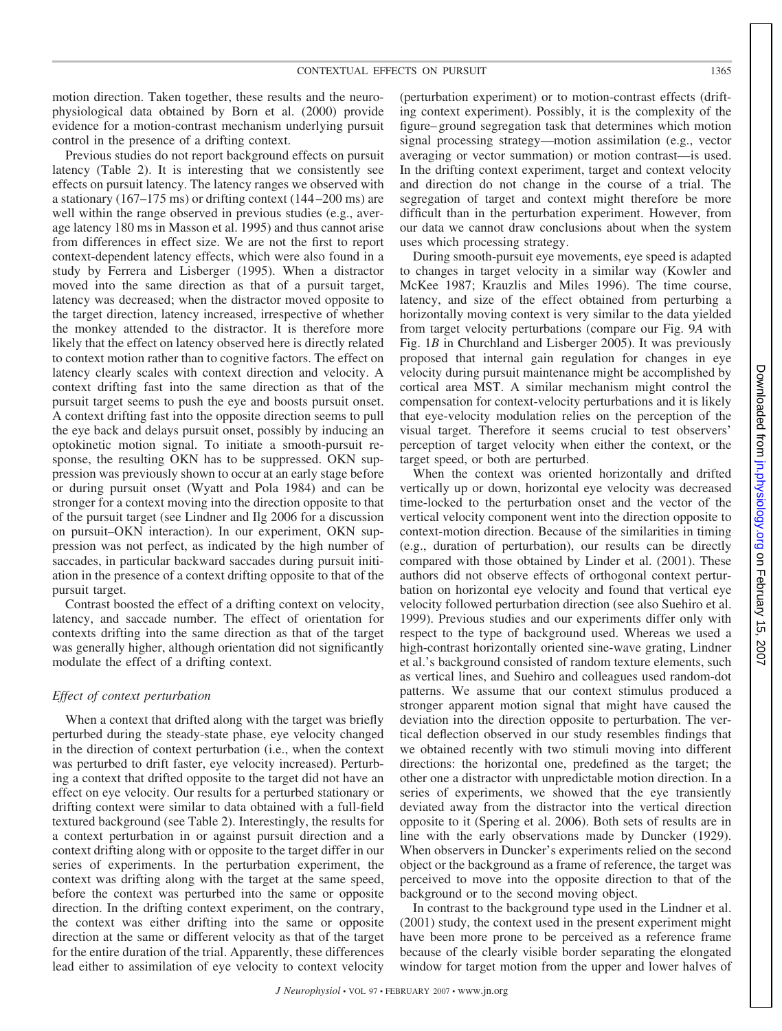motion direction. Taken together, these results and the neurophysiological data obtained by Born et al. (2000) provide evidence for a motion-contrast mechanism underlying pursuit control in the presence of a drifting context.

Previous studies do not report background effects on pursuit latency (Table 2). It is interesting that we consistently see effects on pursuit latency. The latency ranges we observed with a stationary (167–175 ms) or drifting context (144 –200 ms) are well within the range observed in previous studies (e.g., average latency 180 ms in Masson et al. 1995) and thus cannot arise from differences in effect size. We are not the first to report context-dependent latency effects, which were also found in a study by Ferrera and Lisberger (1995). When a distractor moved into the same direction as that of a pursuit target, latency was decreased; when the distractor moved opposite to the target direction, latency increased, irrespective of whether the monkey attended to the distractor. It is therefore more likely that the effect on latency observed here is directly related to context motion rather than to cognitive factors. The effect on latency clearly scales with context direction and velocity. A context drifting fast into the same direction as that of the pursuit target seems to push the eye and boosts pursuit onset. A context drifting fast into the opposite direction seems to pull the eye back and delays pursuit onset, possibly by inducing an optokinetic motion signal. To initiate a smooth-pursuit response, the resulting OKN has to be suppressed. OKN suppression was previously shown to occur at an early stage before or during pursuit onset (Wyatt and Pola 1984) and can be stronger for a context moving into the direction opposite to that of the pursuit target (see Lindner and Ilg 2006 for a discussion on pursuit–OKN interaction). In our experiment, OKN suppression was not perfect, as indicated by the high number of saccades, in particular backward saccades during pursuit initiation in the presence of a context drifting opposite to that of the pursuit target.

Contrast boosted the effect of a drifting context on velocity, latency, and saccade number. The effect of orientation for contexts drifting into the same direction as that of the target was generally higher, although orientation did not significantly modulate the effect of a drifting context.

## *Effect of context perturbation*

When a context that drifted along with the target was briefly perturbed during the steady-state phase, eye velocity changed in the direction of context perturbation (i.e., when the context was perturbed to drift faster, eye velocity increased). Perturbing a context that drifted opposite to the target did not have an effect on eye velocity. Our results for a perturbed stationary or drifting context were similar to data obtained with a full-field textured background (see Table 2). Interestingly, the results for a context perturbation in or against pursuit direction and a context drifting along with or opposite to the target differ in our series of experiments. In the perturbation experiment, the context was drifting along with the target at the same speed, before the context was perturbed into the same or opposite direction. In the drifting context experiment, on the contrary, the context was either drifting into the same or opposite direction at the same or different velocity as that of the target for the entire duration of the trial. Apparently, these differences lead either to assimilation of eye velocity to context velocity

(perturbation experiment) or to motion-contrast effects (drifting context experiment). Possibly, it is the complexity of the figure– ground segregation task that determines which motion signal processing strategy—motion assimilation (e.g., vector averaging or vector summation) or motion contrast—is used. In the drifting context experiment, target and context velocity and direction do not change in the course of a trial. The segregation of target and context might therefore be more difficult than in the perturbation experiment. However, from our data we cannot draw conclusions about when the system uses which processing strategy.

During smooth-pursuit eye movements, eye speed is adapted to changes in target velocity in a similar way (Kowler and McKee 1987; Krauzlis and Miles 1996). The time course, latency, and size of the effect obtained from perturbing a horizontally moving context is very similar to the data yielded from target velocity perturbations (compare our Fig. 9*A* with Fig. 1*B* in Churchland and Lisberger 2005). It was previously proposed that internal gain regulation for changes in eye velocity during pursuit maintenance might be accomplished by cortical area MST. A similar mechanism might control the compensation for context-velocity perturbations and it is likely that eye-velocity modulation relies on the perception of the visual target. Therefore it seems crucial to test observers' perception of target velocity when either the context, or the target speed, or both are perturbed.

When the context was oriented horizontally and drifted vertically up or down, horizontal eye velocity was decreased time-locked to the perturbation onset and the vector of the vertical velocity component went into the direction opposite to context-motion direction. Because of the similarities in timing (e.g., duration of perturbation), our results can be directly compared with those obtained by Linder et al. (2001). These authors did not observe effects of orthogonal context perturbation on horizontal eye velocity and found that vertical eye velocity followed perturbation direction (see also Suehiro et al. 1999). Previous studies and our experiments differ only with respect to the type of background used. Whereas we used a high-contrast horizontally oriented sine-wave grating, Lindner et al.'s background consisted of random texture elements, such as vertical lines, and Suehiro and colleagues used random-dot patterns. We assume that our context stimulus produced a stronger apparent motion signal that might have caused the deviation into the direction opposite to perturbation. The vertical deflection observed in our study resembles findings that we obtained recently with two stimuli moving into different directions: the horizontal one, predefined as the target; the other one a distractor with unpredictable motion direction. In a series of experiments, we showed that the eye transiently deviated away from the distractor into the vertical direction opposite to it (Spering et al. 2006). Both sets of results are in line with the early observations made by Duncker (1929). When observers in Duncker's experiments relied on the second object or the background as a frame of reference, the target was perceived to move into the opposite direction to that of the background or to the second moving object.

In contrast to the background type used in the Lindner et al. (2001) study, the context used in the present experiment might have been more prone to be perceived as a reference frame because of the clearly visible border separating the elongated window for target motion from the upper and lower halves of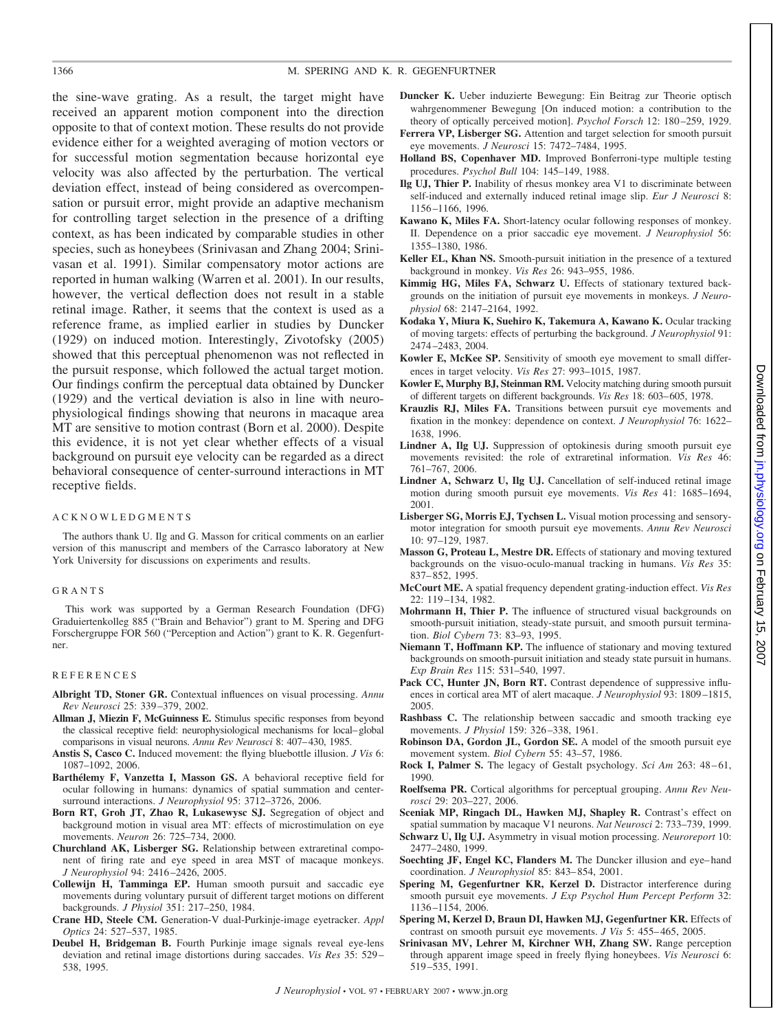the sine-wave grating. As a result, the target might have received an apparent motion component into the direction opposite to that of context motion. These results do not provide evidence either for a weighted averaging of motion vectors or for successful motion segmentation because horizontal eye velocity was also affected by the perturbation. The vertical deviation effect, instead of being considered as overcompensation or pursuit error, might provide an adaptive mechanism for controlling target selection in the presence of a drifting context, as has been indicated by comparable studies in other species, such as honeybees (Srinivasan and Zhang 2004; Srinivasan et al. 1991). Similar compensatory motor actions are reported in human walking (Warren et al. 2001). In our results, however, the vertical deflection does not result in a stable retinal image. Rather, it seems that the context is used as a reference frame, as implied earlier in studies by Duncker (1929) on induced motion. Interestingly, Zivotofsky (2005) showed that this perceptual phenomenon was not reflected in the pursuit response, which followed the actual target motion. Our findings confirm the perceptual data obtained by Duncker (1929) and the vertical deviation is also in line with neurophysiological findings showing that neurons in macaque area MT are sensitive to motion contrast (Born et al. 2000). Despite this evidence, it is not yet clear whether effects of a visual background on pursuit eye velocity can be regarded as a direct behavioral consequence of center-surround interactions in MT receptive fields.

#### ACKNOWLEDGMENTS

The authors thank U. Ilg and G. Masson for critical comments on an earlier version of this manuscript and members of the Carrasco laboratory at New York University for discussions on experiments and results.

#### GRANTS

This work was supported by a German Research Foundation (DFG) Graduiertenkolleg 885 ("Brain and Behavior") grant to M. Spering and DFG Forschergruppe FOR 560 ("Perception and Action") grant to K. R. Gegenfurtner.

#### REFERENCES

- **Albright TD, Stoner GR.** Contextual influences on visual processing. *Annu Rev Neurosci* 25: 339 –379, 2002.
- **Allman J, Miezin F, McGuinness E.** Stimulus specific responses from beyond the classical receptive field: neurophysiological mechanisms for local– global comparisons in visual neurons. *Annu Rev Neurosci* 8: 407–430, 1985.
- **Anstis S, Casco C.** Induced movement: the flying bluebottle illusion. *J Vis* 6: 1087–1092, 2006.
- Barthélemy F, Vanzetta I, Masson GS. A behavioral receptive field for ocular following in humans: dynamics of spatial summation and centersurround interactions. *J Neurophysiol* 95: 3712–3726, 2006.
- **Born RT, Groh JT, Zhao R, Lukasewysc SJ.** Segregation of object and background motion in visual area MT: effects of microstimulation on eye movements. *Neuron* 26: 725–734, 2000.
- **Churchland AK, Lisberger SG.** Relationship between extraretinal component of firing rate and eye speed in area MST of macaque monkeys. *J Neurophysiol* 94: 2416 –2426, 2005.
- **Collewijn H, Tamminga EP.** Human smooth pursuit and saccadic eye movements during voluntary pursuit of different target motions on different backgrounds. *J Physiol* 351: 217–250, 1984.
- **Crane HD, Steele CM.** Generation-V dual-Purkinje-image eyetracker. *Appl Optics* 24: 527–537, 1985.
- **Deubel H, Bridgeman B.** Fourth Purkinje image signals reveal eye-lens deviation and retinal image distortions during saccades. *Vis Res* 35: 529 – 538, 1995.
- **Duncker K.** Ueber induzierte Bewegung: Ein Beitrag zur Theorie optisch wahrgenommener Bewegung [On induced motion: a contribution to the theory of optically perceived motion]. *Psychol Forsch* 12: 180–259, 1929.
- **Ferrera VP, Lisberger SG.** Attention and target selection for smooth pursuit eye movements. *J Neurosci* 15: 7472–7484, 1995.
- **Holland BS, Copenhaver MD.** Improved Bonferroni-type multiple testing procedures. *Psychol Bull* 104: 145–149, 1988.
- **Ilg UJ, Thier P.** Inability of rhesus monkey area V1 to discriminate between self-induced and externally induced retinal image slip. *Eur J Neurosci* 8: 1156 –1166, 1996.
- **Kawano K, Miles FA.** Short-latency ocular following responses of monkey. II. Dependence on a prior saccadic eye movement. *J Neurophysiol* 56: 1355–1380, 1986.
- **Keller EL, Khan NS.** Smooth-pursuit initiation in the presence of a textured background in monkey. *Vis Res* 26: 943–955, 1986.
- **Kimmig HG, Miles FA, Schwarz U.** Effects of stationary textured backgrounds on the initiation of pursuit eye movements in monkeys. *J Neurophysiol* 68: 2147–2164, 1992.
- **Kodaka Y, Miura K, Suehiro K, Takemura A, Kawano K.** Ocular tracking of moving targets: effects of perturbing the background. *J Neurophysiol* 91: 2474 –2483, 2004.
- **Kowler E, McKee SP.** Sensitivity of smooth eye movement to small differences in target velocity. *Vis Res* 27: 993–1015, 1987.
- **Kowler E, Murphy BJ, Steinman RM.** Velocity matching during smooth pursuit of different targets on different backgrounds. *Vis Res* 18: 603– 605, 1978.
- **Krauzlis RJ, Miles FA.** Transitions between pursuit eye movements and fixation in the monkey: dependence on context. *J Neurophysiol* 76: 1622– 1638, 1996.
- **Lindner A, Ilg UJ.** Suppression of optokinesis during smooth pursuit eye movements revisited: the role of extraretinal information. *Vis Res* 46: 761–767, 2006.
- **Lindner A, Schwarz U, Ilg UJ.** Cancellation of self-induced retinal image motion during smooth pursuit eye movements. *Vis Res* 41: 1685–1694, 2001.
- **Lisberger SG, Morris EJ, Tychsen L.** Visual motion processing and sensorymotor integration for smooth pursuit eye movements. *Annu Rev Neurosci* 10: 97–129, 1987.
- **Masson G, Proteau L, Mestre DR.** Effects of stationary and moving textured backgrounds on the visuo-oculo-manual tracking in humans. *Vis Res* 35: 837– 852, 1995.
- **McCourt ME.** A spatial frequency dependent grating-induction effect. *Vis Res* 22: 119 –134, 1982.
- **Mohrmann H, Thier P.** The influence of structured visual backgrounds on smooth-pursuit initiation, steady-state pursuit, and smooth pursuit termination. *Biol Cybern* 73: 83–93, 1995.
- **Niemann T, Hoffmann KP.** The influence of stationary and moving textured backgrounds on smooth-pursuit initiation and steady state pursuit in humans. *Exp Brain Res* 115: 531–540, 1997.
- Pack CC, Hunter JN, Born RT. Contrast dependence of suppressive influences in cortical area MT of alert macaque. *J Neurophysiol* 93: 1809 –1815, 2005.
- **Rashbass C.** The relationship between saccadic and smooth tracking eye movements. *J Physiol* 159: 326 –338, 1961.
- **Robinson DA, Gordon JL, Gordon SE.** A model of the smooth pursuit eye movement system. *Biol Cybern* 55: 43–57, 1986.
- Rock I, Palmer S. The legacy of Gestalt psychology. *Sci Am* 263: 48-61, 1990.
- **Roelfsema PR.** Cortical algorithms for perceptual grouping. *Annu Rev Neurosci* 29: 203–227, 2006.

**Sceniak MP, Ringach DL, Hawken MJ, Shapley R.** Contrast's effect on spatial summation by macaque V1 neurons. *Nat Neurosci* 2: 733–739, 1999.

- **Schwarz U, Ilg UJ.** Asymmetry in visual motion processing. *Neuroreport* 10: 2477–2480, 1999.
- **Soechting JF, Engel KC, Flanders M.** The Duncker illusion and eye– hand coordination. *J Neurophysiol* 85: 843– 854, 2001.
- **Spering M, Gegenfurtner KR, Kerzel D.** Distractor interference during smooth pursuit eye movements. *J Exp Psychol Hum Percept Perform* 32: 1136 –1154, 2006.
- **Spering M, Kerzel D, Braun DI, Hawken MJ, Gegenfurtner KR.** Effects of contrast on smooth pursuit eye movements. *J Vis* 5: 455– 465, 2005.
- **Srinivasan MV, Lehrer M, Kirchner WH, Zhang SW.** Range perception through apparent image speed in freely flying honeybees. *Vis Neurosci* 6: 519 –535, 1991.